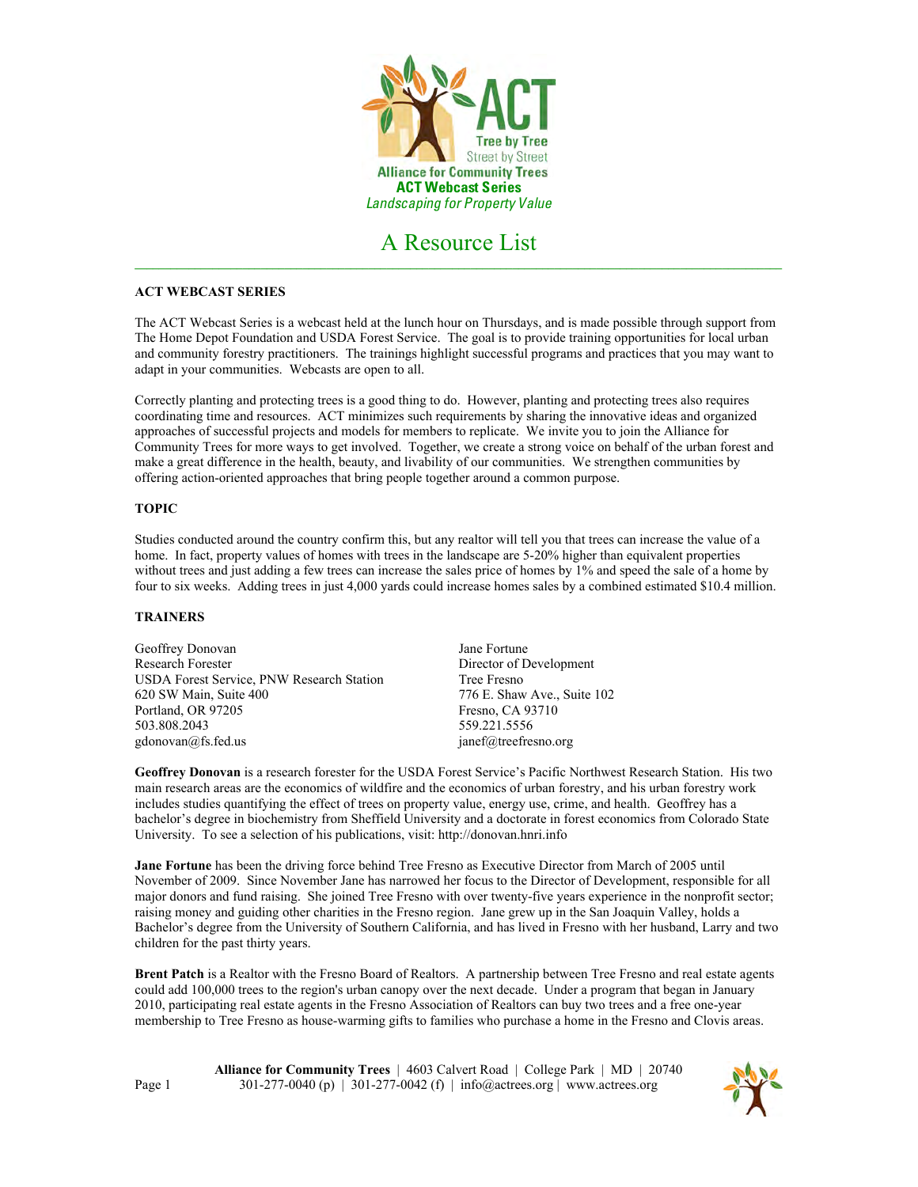

# **ACT WEBCAST SERIES**

The ACT Webcast Series is a webcast held at the lunch hour on Thursdays, and is made possible through support from The Home Depot Foundation and USDA Forest Service. The goal is to provide training opportunities for local urban and community forestry practitioners. The trainings highlight successful programs and practices that you may want to adapt in your communities. Webcasts are open to all.

Correctly planting and protecting trees is a good thing to do. However, planting and protecting trees also requires coordinating time and resources. ACT minimizes such requirements by sharing the innovative ideas and organized approaches of successful projects and models for members to replicate. We invite you to join the Alliance for Community Trees for more ways to get involved. Together, we create a strong voice on behalf of the urban forest and make a great difference in the health, beauty, and livability of our communities. We strengthen communities by offering action-oriented approaches that bring people together around a common purpose.

### **TOPIC**

Studies conducted around the country confirm this, but any realtor will tell you that trees can increase the value of a home. In fact, property values of homes with trees in the landscape are 5-20% higher than equivalent properties without trees and just adding a few trees can increase the sales price of homes by 1% and speed the sale of a home by four to six weeks. Adding trees in just 4,000 yards could increase homes sales by a combined estimated \$10.4 million.

# **TRAINERS**

| Geoffrey Donovan                          | Jane Fortune                |
|-------------------------------------------|-----------------------------|
| <b>Research Forester</b>                  | Director of Development     |
| USDA Forest Service, PNW Research Station | Tree Fresno                 |
| 620 SW Main, Suite 400                    | 776 E. Shaw Ave., Suite 102 |
| Portland, OR 97205                        | Fresno, CA 93710            |
| 503.808.2043                              | 559.221.5556                |
| $\text{gdonovan}(a)$ fs.fed.us            | janef@treefresno.org        |

**Geoffrey Donovan** is a research forester for the USDA Forest Service's Pacific Northwest Research Station. His two main research areas are the economics of wildfire and the economics of urban forestry, and his urban forestry work includes studies quantifying the effect of trees on property value, energy use, crime, and health. Geoffrey has a bachelor's degree in biochemistry from Sheffield University and a doctorate in forest economics from Colorado State University. To see a selection of his publications, visit: http://donovan.hnri.info

**Jane Fortune** has been the driving force behind Tree Fresno as Executive Director from March of 2005 until November of 2009. Since November Jane has narrowed her focus to the Director of Development, responsible for all major donors and fund raising. She joined Tree Fresno with over twenty-five years experience in the nonprofit sector; raising money and guiding other charities in the Fresno region. Jane grew up in the San Joaquin Valley, holds a Bachelor's degree from the University of Southern California, and has lived in Fresno with her husband, Larry and two children for the past thirty years.

**Brent Patch** is a Realtor with the Fresno Board of Realtors. A partnership between Tree Fresno and real estate agents could add 100,000 trees to the region's urban canopy over the next decade. Under a program that began in January 2010, participating real estate agents in the Fresno Association of Realtors can buy two trees and a free one-year membership to Tree Fresno as house-warming gifts to families who purchase a home in the Fresno and Clovis areas.

> **Alliance for Community Trees** | 4603 Calvert Road | College Park | MD | 20740 301-277-0040 (p) | 301-277-0042 (f) | info@actrees.org | www.actrees.org

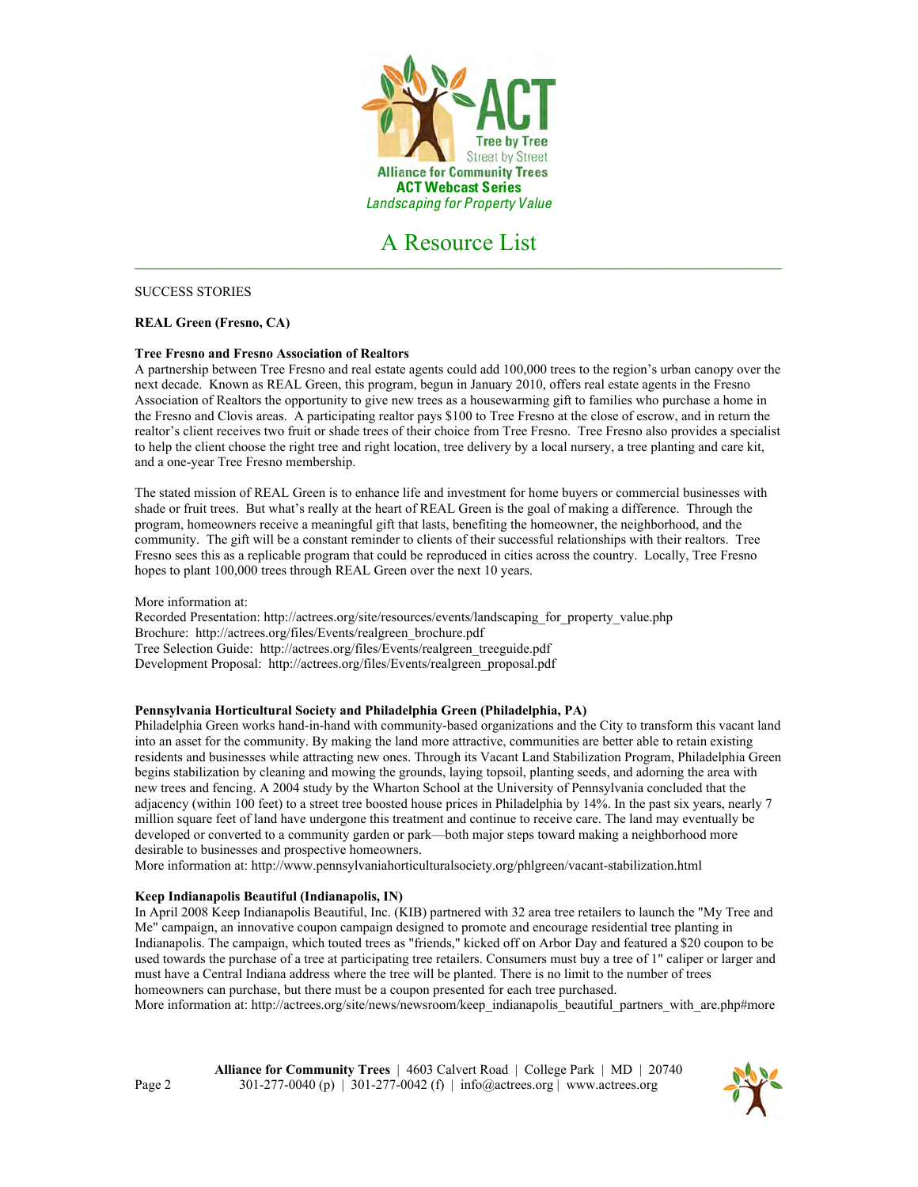

SUCCESS STORIES

# **REAL Green (Fresno, CA)**

### **Tree Fresno and Fresno Association of Realtors**

A partnership between Tree Fresno and real estate agents could add 100,000 trees to the region's urban canopy over the next decade. Known as REAL Green, this program, begun in January 2010, offers real estate agents in the Fresno Association of Realtors the opportunity to give new trees as a housewarming gift to families who purchase a home in the Fresno and Clovis areas. A participating realtor pays \$100 to Tree Fresno at the close of escrow, and in return the realtor's client receives two fruit or shade trees of their choice from Tree Fresno. Tree Fresno also provides a specialist to help the client choose the right tree and right location, tree delivery by a local nursery, a tree planting and care kit, and a one-year Tree Fresno membership.

The stated mission of REAL Green is to enhance life and investment for home buyers or commercial businesses with shade or fruit trees. But what's really at the heart of REAL Green is the goal of making a difference. Through the program, homeowners receive a meaningful gift that lasts, benefiting the homeowner, the neighborhood, and the community. The gift will be a constant reminder to clients of their successful relationships with their realtors. Tree Fresno sees this as a replicable program that could be reproduced in cities across the country. Locally, Tree Fresno hopes to plant 100,000 trees through REAL Green over the next 10 years.

### More information at:

Recorded Presentation: http://actrees.org/site/resources/events/landscaping\_for\_property\_value.php Brochure: http://actrees.org/files/Events/realgreen\_brochure.pdf Tree Selection Guide: http://actrees.org/files/Events/realgreen\_treeguide.pdf Development Proposal: http://actrees.org/files/Events/realgreen\_proposal.pdf

### **Pennsylvania Horticultural Society and Philadelphia Green (Philadelphia, PA)**

Philadelphia Green works hand-in-hand with community-based organizations and the City to transform this vacant land into an asset for the community. By making the land more attractive, communities are better able to retain existing residents and businesses while attracting new ones. Through its Vacant Land Stabilization Program, Philadelphia Green begins stabilization by cleaning and mowing the grounds, laying topsoil, planting seeds, and adorning the area with new trees and fencing. A 2004 study by the Wharton School at the University of Pennsylvania concluded that the adjacency (within 100 feet) to a street tree boosted house prices in Philadelphia by 14%. In the past six years, nearly 7 million square feet of land have undergone this treatment and continue to receive care. The land may eventually be developed or converted to a community garden or park—both major steps toward making a neighborhood more desirable to businesses and prospective homeowners.

More information at: http://www.pennsylvaniahorticulturalsociety.org/phlgreen/vacant-stabilization.html

# **Keep Indianapolis Beautiful (Indianapolis, IN)**

In April 2008 Keep Indianapolis Beautiful, Inc. (KIB) partnered with 32 area tree retailers to launch the "My Tree and Me" campaign, an innovative coupon campaign designed to promote and encourage residential tree planting in Indianapolis. The campaign, which touted trees as "friends," kicked off on Arbor Day and featured a \$20 coupon to be used towards the purchase of a tree at participating tree retailers. Consumers must buy a tree of 1" caliper or larger and must have a Central Indiana address where the tree will be planted. There is no limit to the number of trees homeowners can purchase, but there must be a coupon presented for each tree purchased.

More information at: http://actrees.org/site/news/newsroom/keep\_indianapolis\_beautiful\_partners\_with\_are.php#more

**Alliance for Community Trees** | 4603 Calvert Road | College Park | MD | 20740 301-277-0040 (p) | 301-277-0042 (f) | info@actrees.org | www.actrees.org

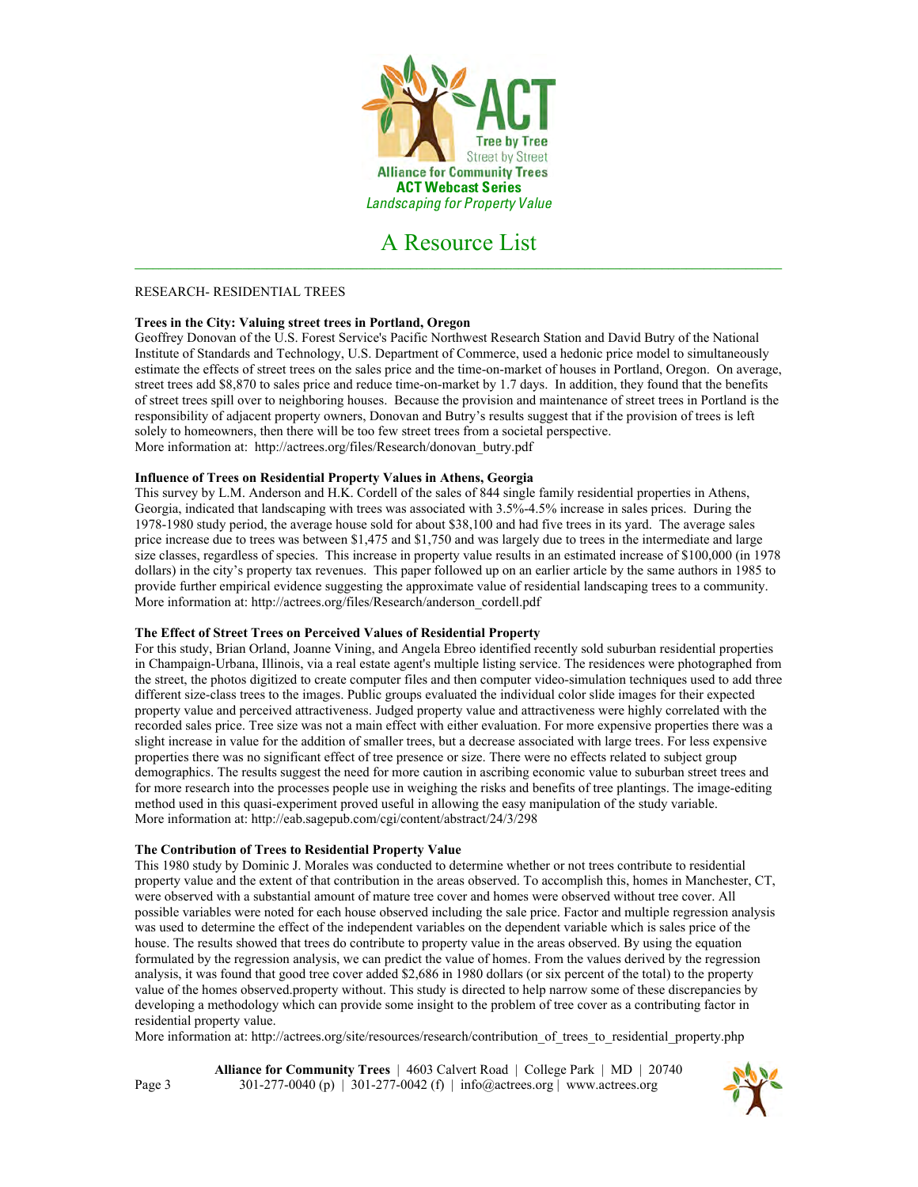

### RESEARCH- RESIDENTIAL TREES

# **Trees in the City: Valuing street trees in Portland, Oregon**

Geoffrey Donovan of the U.S. Forest Service's Pacific Northwest Research Station and David Butry of the National Institute of Standards and Technology, U.S. Department of Commerce, used a hedonic price model to simultaneously estimate the effects of street trees on the sales price and the time-on-market of houses in Portland, Oregon. On average, street trees add \$8,870 to sales price and reduce time-on-market by 1.7 days. In addition, they found that the benefits of street trees spill over to neighboring houses. Because the provision and maintenance of street trees in Portland is the responsibility of adjacent property owners, Donovan and Butry's results suggest that if the provision of trees is left solely to homeowners, then there will be too few street trees from a societal perspective. More information at: http://actrees.org/files/Research/donovan\_butry.pdf

# **Influence of Trees on Residential Property Values in Athens, Georgia**

This survey by L.M. Anderson and H.K. Cordell of the sales of 844 single family residential properties in Athens, Georgia, indicated that landscaping with trees was associated with 3.5%-4.5% increase in sales prices. During the 1978-1980 study period, the average house sold for about \$38,100 and had five trees in its yard. The average sales price increase due to trees was between \$1,475 and \$1,750 and was largely due to trees in the intermediate and large size classes, regardless of species. This increase in property value results in an estimated increase of \$100,000 (in 1978 dollars) in the city's property tax revenues. This paper followed up on an earlier article by the same authors in 1985 to provide further empirical evidence suggesting the approximate value of residential landscaping trees to a community. More information at: http://actrees.org/files/Research/anderson\_cordell.pdf

### **The Effect of Street Trees on Perceived Values of Residential Property**

For this study, Brian Orland, Joanne Vining, and Angela Ebreo identified recently sold suburban residential properties in Champaign-Urbana, Illinois, via a real estate agent's multiple listing service. The residences were photographed from the street, the photos digitized to create computer files and then computer video-simulation techniques used to add three different size-class trees to the images. Public groups evaluated the individual color slide images for their expected property value and perceived attractiveness. Judged property value and attractiveness were highly correlated with the recorded sales price. Tree size was not a main effect with either evaluation. For more expensive properties there was a slight increase in value for the addition of smaller trees, but a decrease associated with large trees. For less expensive properties there was no significant effect of tree presence or size. There were no effects related to subject group demographics. The results suggest the need for more caution in ascribing economic value to suburban street trees and for more research into the processes people use in weighing the risks and benefits of tree plantings. The image-editing method used in this quasi-experiment proved useful in allowing the easy manipulation of the study variable. More information at: http://eab.sagepub.com/cgi/content/abstract/24/3/298

### **The Contribution of Trees to Residential Property Value**

This 1980 study by Dominic J. Morales was conducted to determine whether or not trees contribute to residential property value and the extent of that contribution in the areas observed. To accomplish this, homes in Manchester, CT, were observed with a substantial amount of mature tree cover and homes were observed without tree cover. All possible variables were noted for each house observed including the sale price. Factor and multiple regression analysis was used to determine the effect of the independent variables on the dependent variable which is sales price of the house. The results showed that trees do contribute to property value in the areas observed. By using the equation formulated by the regression analysis, we can predict the value of homes. From the values derived by the regression analysis, it was found that good tree cover added \$2,686 in 1980 dollars (or six percent of the total) to the property value of the homes observed.property without. This study is directed to help narrow some of these discrepancies by developing a methodology which can provide some insight to the problem of tree cover as a contributing factor in residential property value.

More information at: http://actrees.org/site/resources/research/contribution of trees to residential property.php

**Alliance for Community Trees** | 4603 Calvert Road | College Park | MD | 20740 301-277-0040 (p) | 301-277-0042 (f) | info@actrees.org | www.actrees.org

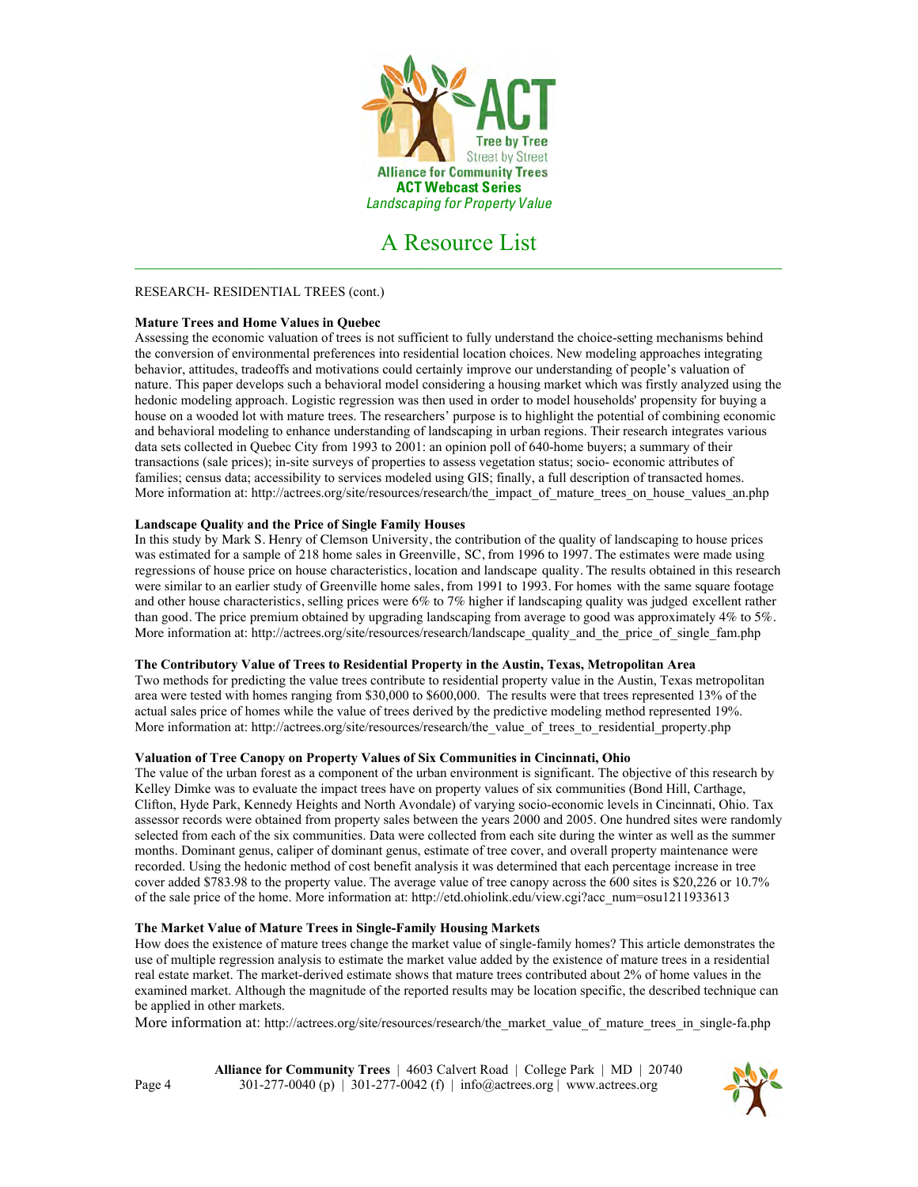

### RESEARCH- RESIDENTIAL TREES (cont.)

### **Mature Trees and Home Values in Quebec**

Assessing the economic valuation of trees is not sufficient to fully understand the choice-setting mechanisms behind the conversion of environmental preferences into residential location choices. New modeling approaches integrating behavior, attitudes, tradeoffs and motivations could certainly improve our understanding of people's valuation of nature. This paper develops such a behavioral model considering a housing market which was firstly analyzed using the hedonic modeling approach. Logistic regression was then used in order to model households' propensity for buying a house on a wooded lot with mature trees. The researchers' purpose is to highlight the potential of combining economic and behavioral modeling to enhance understanding of landscaping in urban regions. Their research integrates various data sets collected in Quebec City from 1993 to 2001: an opinion poll of 640-home buyers; a summary of their transactions (sale prices); in-site surveys of properties to assess vegetation status; socio- economic attributes of families; census data; accessibility to services modeled using GIS; finally, a full description of transacted homes. More information at: http://actrees.org/site/resources/research/the\_impact\_of\_mature\_trees\_on\_house\_values\_an.php

#### **Landscape Quality and the Price of Single Family Houses**

In this study by Mark S. Henry of Clemson University, the contribution of the quality of landscaping to house prices was estimated for a sample of 218 home sales in Greenville, SC, from 1996 to 1997. The estimates were made using regressions of house price on house characteristics, location and landscape quality. The results obtained in this research were similar to an earlier study of Greenville home sales, from 1991 to 1993. For homes with the same square footage and other house characteristics, selling prices were 6% to 7% higher if landscaping quality was judged excellent rather than good. The price premium obtained by upgrading landscaping from average to good was approximately 4% to 5%. More information at: http://actrees.org/site/resources/research/landscape\_quality\_and\_the\_price\_of\_single\_fam.php

#### **The Contributory Value of Trees to Residential Property in the Austin, Texas, Metropolitan Area**

Two methods for predicting the value trees contribute to residential property value in the Austin, Texas metropolitan area were tested with homes ranging from \$30,000 to \$600,000. The results were that trees represented 13% of the actual sales price of homes while the value of trees derived by the predictive modeling method represented 19%. More information at: http://actrees.org/site/resources/research/the\_value\_of\_trees\_to\_residential\_property.php

#### **Valuation of Tree Canopy on Property Values of Six Communities in Cincinnati, Ohio**

The value of the urban forest as a component of the urban environment is significant. The objective of this research by Kelley Dimke was to evaluate the impact trees have on property values of six communities (Bond Hill, Carthage, Clifton, Hyde Park, Kennedy Heights and North Avondale) of varying socio-economic levels in Cincinnati, Ohio. Tax assessor records were obtained from property sales between the years 2000 and 2005. One hundred sites were randomly selected from each of the six communities. Data were collected from each site during the winter as well as the summer months. Dominant genus, caliper of dominant genus, estimate of tree cover, and overall property maintenance were recorded. Using the hedonic method of cost benefit analysis it was determined that each percentage increase in tree cover added \$783.98 to the property value. The average value of tree canopy across the 600 sites is \$20,226 or 10.7% of the sale price of the home. More information at: http://etd.ohiolink.edu/view.cgi?acc\_num=osu1211933613

### **The Market Value of Mature Trees in Single-Family Housing Markets**

How does the existence of mature trees change the market value of single-family homes? This article demonstrates the use of multiple regression analysis to estimate the market value added by the existence of mature trees in a residential real estate market. The market-derived estimate shows that mature trees contributed about 2% of home values in the examined market. Although the magnitude of the reported results may be location specific, the described technique can be applied in other markets.

More information at: http://actrees.org/site/resources/research/the\_market\_value\_of\_mature\_trees\_in\_single-fa.php

**Alliance for Community Trees** | 4603 Calvert Road | College Park | MD | 20740 301-277-0040 (p) | 301-277-0042 (f) | info@actrees.org | www.actrees.org

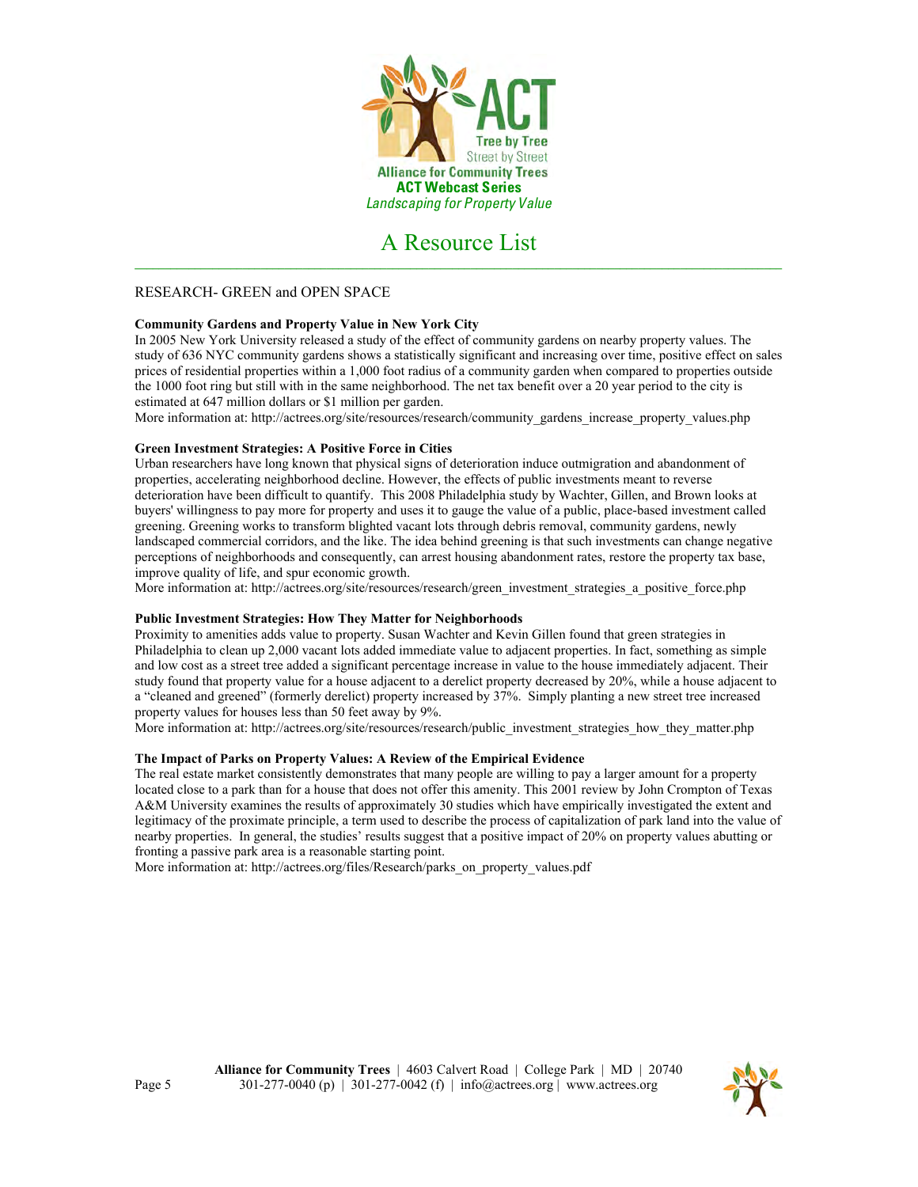

# RESEARCH- GREEN and OPEN SPACE

# **Community Gardens and Property Value in New York City**

In 2005 New York University released a study of the effect of community gardens on nearby property values. The study of 636 NYC community gardens shows a statistically significant and increasing over time, positive effect on sales prices of residential properties within a 1,000 foot radius of a community garden when compared to properties outside the 1000 foot ring but still with in the same neighborhood. The net tax benefit over a 20 year period to the city is estimated at 647 million dollars or \$1 million per garden.

More information at: http://actrees.org/site/resources/research/community\_gardens\_increase\_property\_values.php

### **Green Investment Strategies: A Positive Force in Cities**

Urban researchers have long known that physical signs of deterioration induce outmigration and abandonment of properties, accelerating neighborhood decline. However, the effects of public investments meant to reverse deterioration have been difficult to quantify. This 2008 Philadelphia study by Wachter, Gillen, and Brown looks at buyers' willingness to pay more for property and uses it to gauge the value of a public, place-based investment called greening. Greening works to transform blighted vacant lots through debris removal, community gardens, newly landscaped commercial corridors, and the like. The idea behind greening is that such investments can change negative perceptions of neighborhoods and consequently, can arrest housing abandonment rates, restore the property tax base, improve quality of life, and spur economic growth.

More information at: http://actrees.org/site/resources/research/green\_investment\_strategies\_a\_positive\_force.php

### **Public Investment Strategies: How They Matter for Neighborhoods**

Proximity to amenities adds value to property. Susan Wachter and Kevin Gillen found that green strategies in Philadelphia to clean up 2,000 vacant lots added immediate value to adjacent properties. In fact, something as simple and low cost as a street tree added a significant percentage increase in value to the house immediately adjacent. Their study found that property value for a house adjacent to a derelict property decreased by 20%, while a house adjacent to a "cleaned and greened" (formerly derelict) property increased by 37%. Simply planting a new street tree increased property values for houses less than 50 feet away by 9%.

More information at: http://actrees.org/site/resources/research/public\_investment\_strategies\_how\_they\_matter.php

### **The Impact of Parks on Property Values: A Review of the Empirical Evidence**

The real estate market consistently demonstrates that many people are willing to pay a larger amount for a property located close to a park than for a house that does not offer this amenity. This 2001 review by John Crompton of Texas A&M University examines the results of approximately 30 studies which have empirically investigated the extent and legitimacy of the proximate principle, a term used to describe the process of capitalization of park land into the value of nearby properties. In general, the studies' results suggest that a positive impact of 20% on property values abutting or fronting a passive park area is a reasonable starting point.

More information at: http://actrees.org/files/Research/parks\_on\_property\_values.pdf

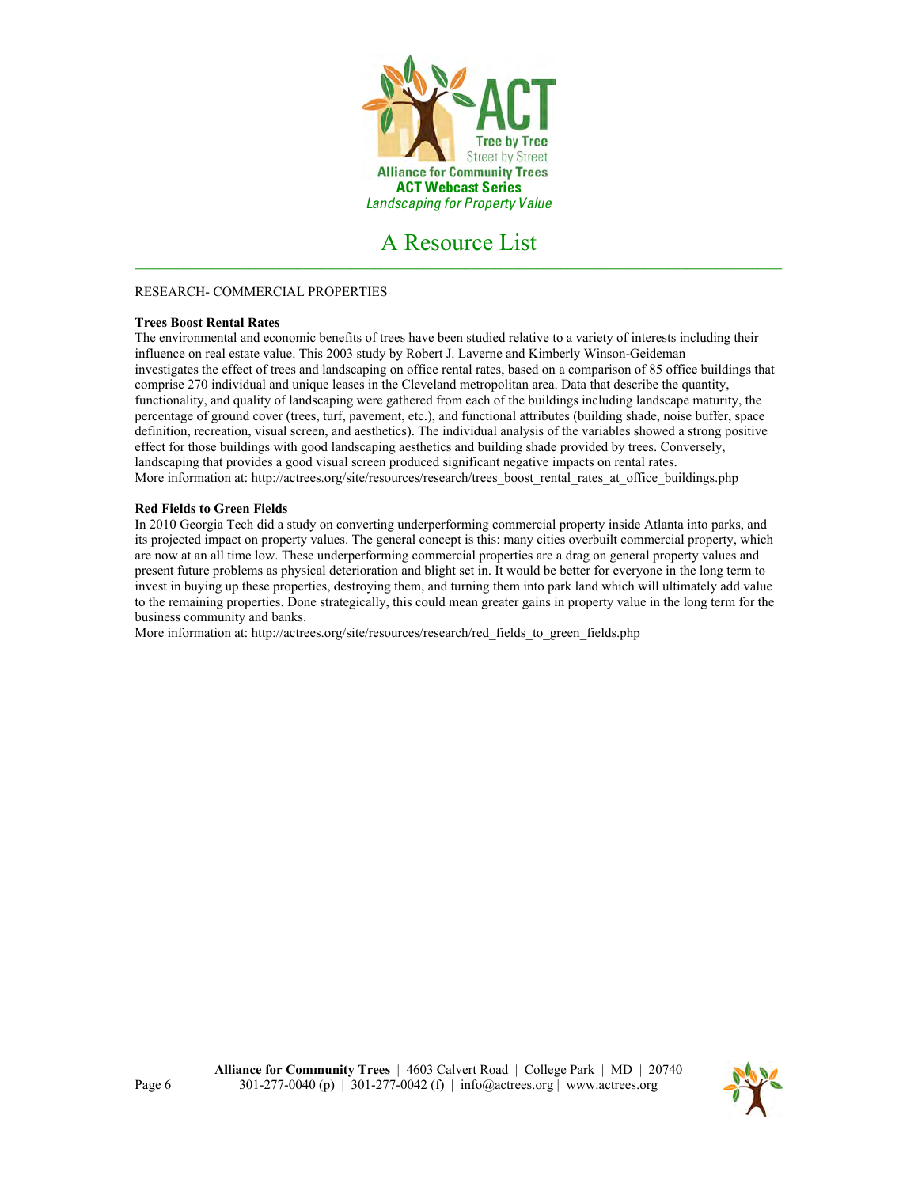

# RESEARCH- COMMERCIAL PROPERTIES

# **Trees Boost Rental Rates**

The environmental and economic benefits of trees have been studied relative to a variety of interests including their influence on real estate value. This 2003 study by Robert J. Laverne and Kimberly Winson-Geideman investigates the effect of trees and landscaping on office rental rates, based on a comparison of 85 office buildings that comprise 270 individual and unique leases in the Cleveland metropolitan area. Data that describe the quantity, functionality, and quality of landscaping were gathered from each of the buildings including landscape maturity, the percentage of ground cover (trees, turf, pavement, etc.), and functional attributes (building shade, noise buffer, space definition, recreation, visual screen, and aesthetics). The individual analysis of the variables showed a strong positive effect for those buildings with good landscaping aesthetics and building shade provided by trees. Conversely, landscaping that provides a good visual screen produced significant negative impacts on rental rates. More information at: http://actrees.org/site/resources/research/trees\_boost\_rental\_rates\_at\_office\_buildings.php

### **Red Fields to Green Fields**

In 2010 Georgia Tech did a study on converting underperforming commercial property inside Atlanta into parks, and its projected impact on property values. The general concept is this: many cities overbuilt commercial property, which are now at an all time low. These underperforming commercial properties are a drag on general property values and present future problems as physical deterioration and blight set in. It would be better for everyone in the long term to invest in buying up these properties, destroying them, and turning them into park land which will ultimately add value to the remaining properties. Done strategically, this could mean greater gains in property value in the long term for the business community and banks.

More information at: http://actrees.org/site/resources/research/red\_fields\_to\_green\_fields.php

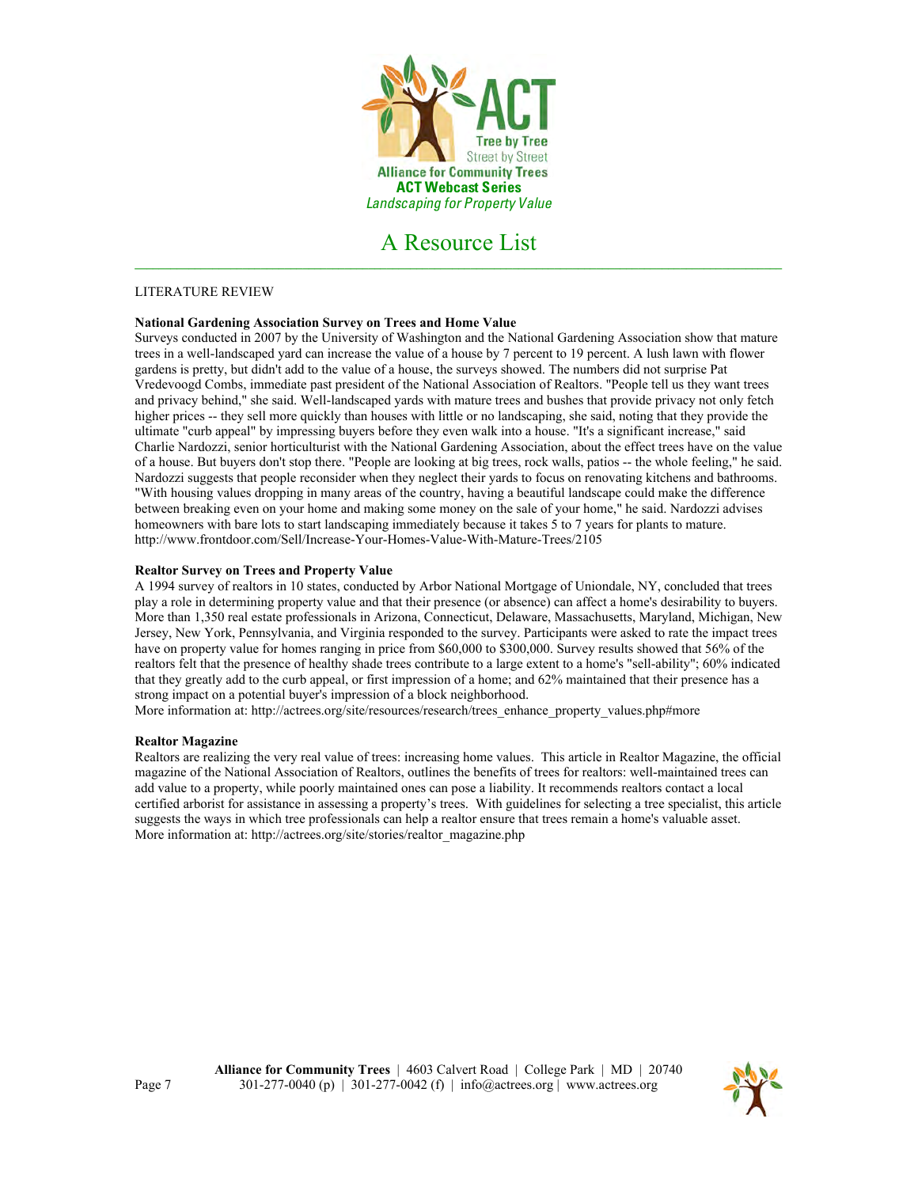

# LITERATURE REVIEW

# **National Gardening Association Survey on Trees and Home Value**

Surveys conducted in 2007 by the University of Washington and the National Gardening Association show that mature trees in a well-landscaped yard can increase the value of a house by 7 percent to 19 percent. A lush lawn with flower gardens is pretty, but didn't add to the value of a house, the surveys showed. The numbers did not surprise Pat Vredevoogd Combs, immediate past president of the National Association of Realtors. "People tell us they want trees and privacy behind," she said. Well-landscaped yards with mature trees and bushes that provide privacy not only fetch higher prices -- they sell more quickly than houses with little or no landscaping, she said, noting that they provide the ultimate "curb appeal" by impressing buyers before they even walk into a house. "It's a significant increase," said Charlie Nardozzi, senior horticulturist with the National Gardening Association, about the effect trees have on the value of a house. But buyers don't stop there. "People are looking at big trees, rock walls, patios -- the whole feeling," he said. Nardozzi suggests that people reconsider when they neglect their yards to focus on renovating kitchens and bathrooms. "With housing values dropping in many areas of the country, having a beautiful landscape could make the difference between breaking even on your home and making some money on the sale of your home," he said. Nardozzi advises homeowners with bare lots to start landscaping immediately because it takes 5 to 7 years for plants to mature. http://www.frontdoor.com/Sell/Increase-Your-Homes-Value-With-Mature-Trees/2105

### **Realtor Survey on Trees and Property Value**

A 1994 survey of realtors in 10 states, conducted by Arbor National Mortgage of Uniondale, NY, concluded that trees play a role in determining property value and that their presence (or absence) can affect a home's desirability to buyers. More than 1,350 real estate professionals in Arizona, Connecticut, Delaware, Massachusetts, Maryland, Michigan, New Jersey, New York, Pennsylvania, and Virginia responded to the survey. Participants were asked to rate the impact trees have on property value for homes ranging in price from \$60,000 to \$300,000. Survey results showed that 56% of the realtors felt that the presence of healthy shade trees contribute to a large extent to a home's "sell-ability"; 60% indicated that they greatly add to the curb appeal, or first impression of a home; and 62% maintained that their presence has a strong impact on a potential buyer's impression of a block neighborhood.

More information at: http://actrees.org/site/resources/research/trees\_enhance\_property\_values.php#more

### **Realtor Magazine**

Realtors are realizing the very real value of trees: increasing home values. This article in Realtor Magazine, the official magazine of the National Association of Realtors, outlines the benefits of trees for realtors: well-maintained trees can add value to a property, while poorly maintained ones can pose a liability. It recommends realtors contact a local certified arborist for assistance in assessing a property's trees. With guidelines for selecting a tree specialist, this article suggests the ways in which tree professionals can help a realtor ensure that trees remain a home's valuable asset. More information at: http://actrees.org/site/stories/realtor\_magazine.php